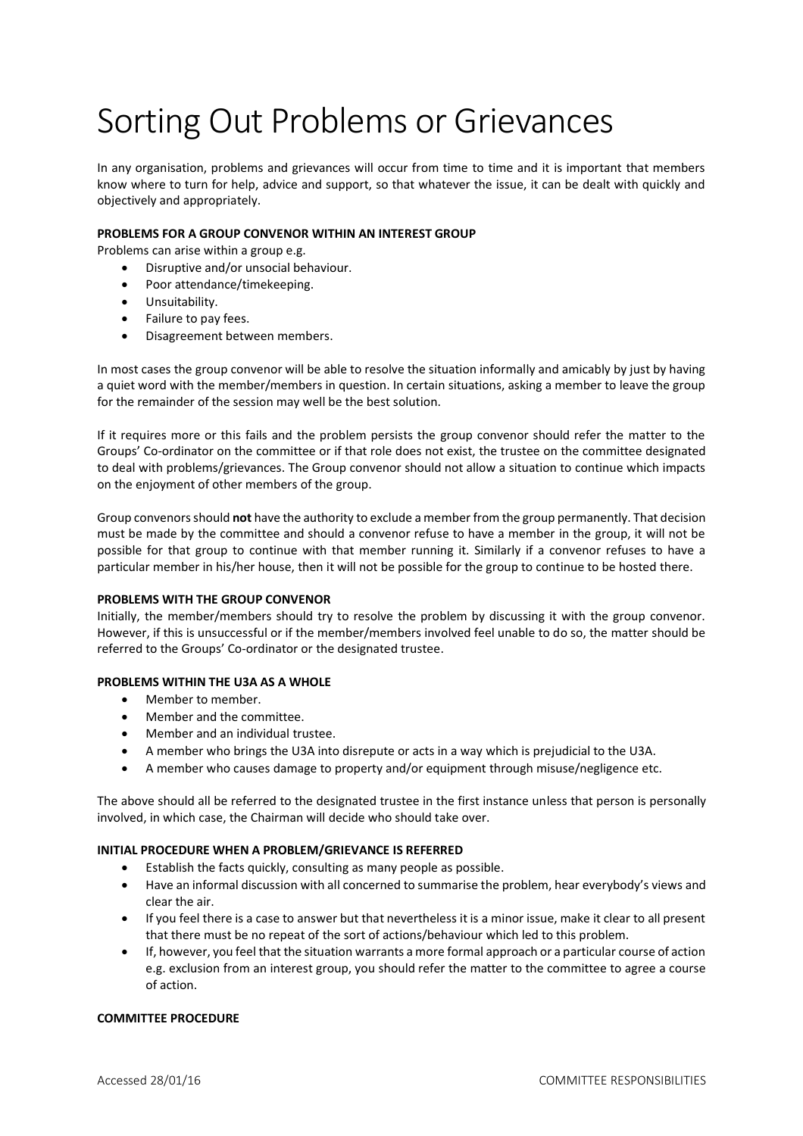# Sorting Out Problems or Grievances

In any organisation, problems and grievances will occur from time to time and it is important that members know where to turn for help, advice and support, so that whatever the issue, it can be dealt with quickly and objectively and appropriately.

# **PROBLEMS FOR A GROUP CONVENOR WITHIN AN INTEREST GROUP**

Problems can arise within a group e.g.

- Disruptive and/or unsocial behaviour.
- Poor attendance/timekeeping.
- **•** Unsuitability.
- Failure to pay fees.
- Disagreement between members.

In most cases the group convenor will be able to resolve the situation informally and amicably by just by having a quiet word with the member/members in question. In certain situations, asking a member to leave the group for the remainder of the session may well be the best solution.

If it requires more or this fails and the problem persists the group convenor should refer the matter to the Groups' Co-ordinator on the committee or if that role does not exist, the trustee on the committee designated to deal with problems/grievances. The Group convenor should not allow a situation to continue which impacts on the enjoyment of other members of the group.

Group convenors should **not** have the authority to exclude a member from the group permanently. That decision must be made by the committee and should a convenor refuse to have a member in the group, it will not be possible for that group to continue with that member running it. Similarly if a convenor refuses to have a particular member in his/her house, then it will not be possible for the group to continue to be hosted there.

## **PROBLEMS WITH THE GROUP CONVENOR**

Initially, the member/members should try to resolve the problem by discussing it with the group convenor. However, if this is unsuccessful or if the member/members involved feel unable to do so, the matter should be referred to the Groups' Co-ordinator or the designated trustee.

## **PROBLEMS WITHIN THE U3A AS A WHOLE**

- Member to member.
- Member and the committee.
- Member and an individual trustee.
- A member who brings the U3A into disrepute or acts in a way which is prejudicial to the U3A.
- A member who causes damage to property and/or equipment through misuse/negligence etc.

The above should all be referred to the designated trustee in the first instance unless that person is personally involved, in which case, the Chairman will decide who should take over.

## **INITIAL PROCEDURE WHEN A PROBLEM/GRIEVANCE IS REFERRED**

- $\bullet$  Establish the facts quickly, consulting as many people as possible.
- Have an informal discussion with all concerned to summarise the problem, hear everybody's views and clear the air.
- If you feel there is a case to answer but that nevertheless it is a minor issue, make it clear to all present that there must be no repeat of the sort of actions/behaviour which led to this problem.
- If, however, you feel that the situation warrants a more formal approach or a particular course of action e.g. exclusion from an interest group, you should refer the matter to the committee to agree a course of action.

## **COMMITTEE PROCEDURE**